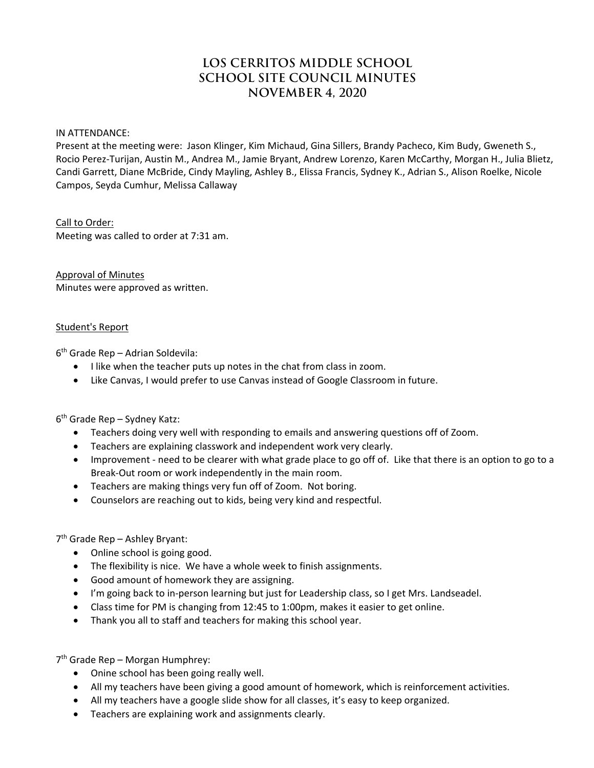# **LOS CERRITOS MIDDLE SCHOOL SCHOOL SITE COUNCIL MINUTES NOVEMBER 4, 2020**

IN ATTENDANCE:

Present at the meeting were: Jason Klinger, Kim Michaud, Gina Sillers, Brandy Pacheco, Kim Budy, Gweneth S., Rocio Perez‐Turijan, Austin M., Andrea M., Jamie Bryant, Andrew Lorenzo, Karen McCarthy, Morgan H., Julia Blietz, Candi Garrett, Diane McBride, Cindy Mayling, Ashley B., Elissa Francis, Sydney K., Adrian S., Alison Roelke, Nicole Campos, Seyda Cumhur, Melissa Callaway

### Call to Order:

Meeting was called to order at 7:31 am.

Approval of Minutes Minutes were approved as written.

### Student's Report

 $6<sup>th</sup>$  Grade Rep – Adrian Soldevila:

- I like when the teacher puts up notes in the chat from class in zoom.
- Like Canvas, I would prefer to use Canvas instead of Google Classroom in future.

 $6<sup>th</sup>$  Grade Rep – Sydney Katz:

- Teachers doing very well with responding to emails and answering questions off of Zoom.
- Teachers are explaining classwork and independent work very clearly.
- Improvement need to be clearer with what grade place to go off of. Like that there is an option to go to a Break‐Out room or work independently in the main room.
- Teachers are making things very fun off of Zoom. Not boring.
- Counselors are reaching out to kids, being very kind and respectful.

7th Grade Rep – Ashley Bryant:

- Online school is going good.
- The flexibility is nice. We have a whole week to finish assignments.
- Good amount of homework they are assigning.
- I'm going back to in‐person learning but just for Leadership class, so I get Mrs. Landseadel.
- Class time for PM is changing from 12:45 to 1:00pm, makes it easier to get online.
- Thank you all to staff and teachers for making this school year.

7<sup>th</sup> Grade Rep – Morgan Humphrey:

- Onine school has been going really well.
- All my teachers have been giving a good amount of homework, which is reinforcement activities.
- All my teachers have a google slide show for all classes, it's easy to keep organized.
- Teachers are explaining work and assignments clearly.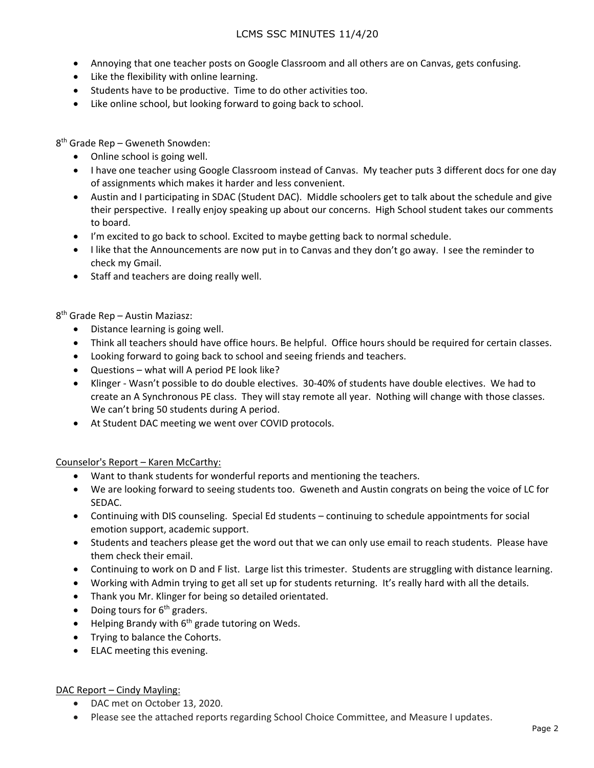- Annoying that one teacher posts on Google Classroom and all others are on Canvas, gets confusing.
- Like the flexibility with online learning.
- Students have to be productive. Time to do other activities too.
- Like online school, but looking forward to going back to school.

8th Grade Rep – Gweneth Snowden:

- Online school is going well.
- I have one teacher using Google Classroom instead of Canvas. My teacher puts 3 different docs for one day of assignments which makes it harder and less convenient.
- Austin and I participating in SDAC (Student DAC). Middle schoolers get to talk about the schedule and give their perspective. I really enjoy speaking up about our concerns. High School student takes our comments to board.
- I'm excited to go back to school. Excited to maybe getting back to normal schedule.
- I like that the Announcements are now put in to Canvas and they don't go away. I see the reminder to check my Gmail.
- Staff and teachers are doing really well.

8th Grade Rep – Austin Maziasz:

- Distance learning is going well.
- Think all teachers should have office hours. Be helpful. Office hours should be required for certain classes.
- Looking forward to going back to school and seeing friends and teachers.
- Questions what will A period PE look like?
- Klinger ‐ Wasn't possible to do double electives. 30‐40% of students have double electives. We had to create an A Synchronous PE class. They will stay remote all year. Nothing will change with those classes. We can't bring 50 students during A period.
- At Student DAC meeting we went over COVID protocols.

Counselor's Report – Karen McCarthy:

- Want to thank students for wonderful reports and mentioning the teachers.
- We are looking forward to seeing students too. Gweneth and Austin congrats on being the voice of LC for SEDAC.
- Continuing with DIS counseling. Special Ed students continuing to schedule appointments for social emotion support, academic support.
- Students and teachers please get the word out that we can only use email to reach students. Please have them check their email.
- Continuing to work on D and F list. Large list this trimester. Students are struggling with distance learning.
- Working with Admin trying to get all set up for students returning. It's really hard with all the details.
- Thank you Mr. Klinger for being so detailed orientated.
- Doing tours for  $6<sup>th</sup>$  graders.
- $\bullet$  Helping Brandy with 6<sup>th</sup> grade tutoring on Weds.
- Trying to balance the Cohorts.
- ELAC meeting this evening.

# DAC Report - Cindy Mayling:

- DAC met on October 13, 2020.
- Please see the attached reports regarding School Choice Committee, and Measure I updates.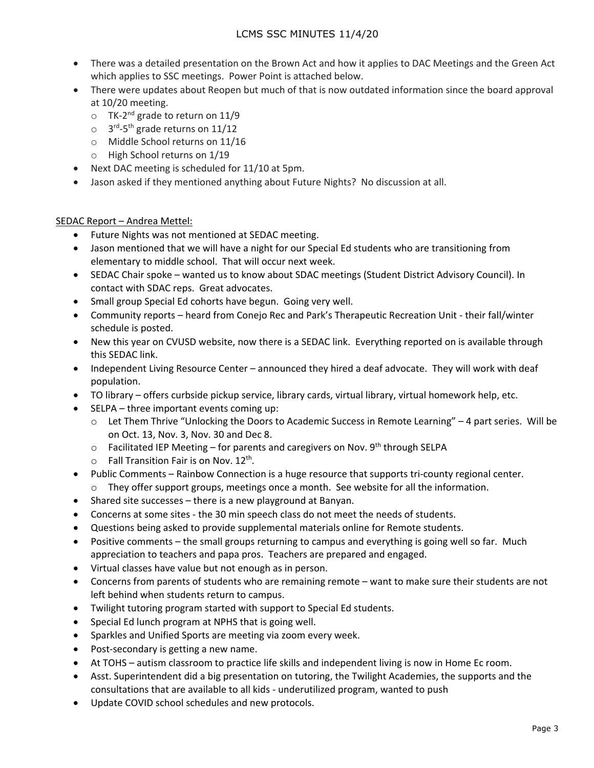- There was a detailed presentation on the Brown Act and how it applies to DAC Meetings and the Green Act which applies to SSC meetings. Power Point is attached below.
- There were updates about Reopen but much of that is now outdated information since the board approval at 10/20 meeting.
	- $\circ$  TK-2<sup>nd</sup> grade to return on 11/9
	- $\circ$  3<sup>rd</sup>-5<sup>th</sup> grade returns on 11/12
	- o Middle School returns on 11/16
	- o High School returns on 1/19
- Next DAC meeting is scheduled for 11/10 at 5pm.
- Jason asked if they mentioned anything about Future Nights? No discussion at all.

# SEDAC Report – Andrea Mettel:

- Future Nights was not mentioned at SEDAC meeting.
- Jason mentioned that we will have a night for our Special Ed students who are transitioning from elementary to middle school. That will occur next week.
- SEDAC Chair spoke wanted us to know about SDAC meetings (Student District Advisory Council). In contact with SDAC reps. Great advocates.
- Small group Special Ed cohorts have begun. Going very well.
- Community reports heard from Conejo Rec and Park's Therapeutic Recreation Unit ‐ their fall/winter schedule is posted.
- New this year on CVUSD website, now there is a SEDAC link. Everything reported on is available through this SEDAC link.
- Independent Living Resource Center announced they hired a deaf advocate. They will work with deaf population.
- TO library offers curbside pickup service, library cards, virtual library, virtual homework help, etc.
- SELPA three important events coming up:
	- o Let Them Thrive "Unlocking the Doors to Academic Success in Remote Learning" 4 part series. Will be on Oct. 13, Nov. 3, Nov. 30 and Dec 8.
	- $\circ$  Facilitated IEP Meeting for parents and caregivers on Nov. 9<sup>th</sup> through SELPA
	- $\circ$  Fall Transition Fair is on Nov. 12<sup>th</sup>.
- Public Comments Rainbow Connection is a huge resource that supports tri-county regional center.
	- $\circ$  They offer support groups, meetings once a month. See website for all the information.
- Shared site successes there is a new playground at Banyan.
- Concerns at some sites ‐ the 30 min speech class do not meet the needs of students.
- Questions being asked to provide supplemental materials online for Remote students.
- Positive comments the small groups returning to campus and everything is going well so far. Much appreciation to teachers and papa pros. Teachers are prepared and engaged.
- Virtual classes have value but not enough as in person.
- Concerns from parents of students who are remaining remote want to make sure their students are not left behind when students return to campus.
- Twilight tutoring program started with support to Special Ed students.
- Special Ed lunch program at NPHS that is going well.
- Sparkles and Unified Sports are meeting via zoom every week.
- Post-secondary is getting a new name.
- At TOHS autism classroom to practice life skills and independent living is now in Home Ec room.
- Asst. Superintendent did a big presentation on tutoring, the Twilight Academies, the supports and the consultations that are available to all kids ‐ underutilized program, wanted to push
- Update COVID school schedules and new protocols.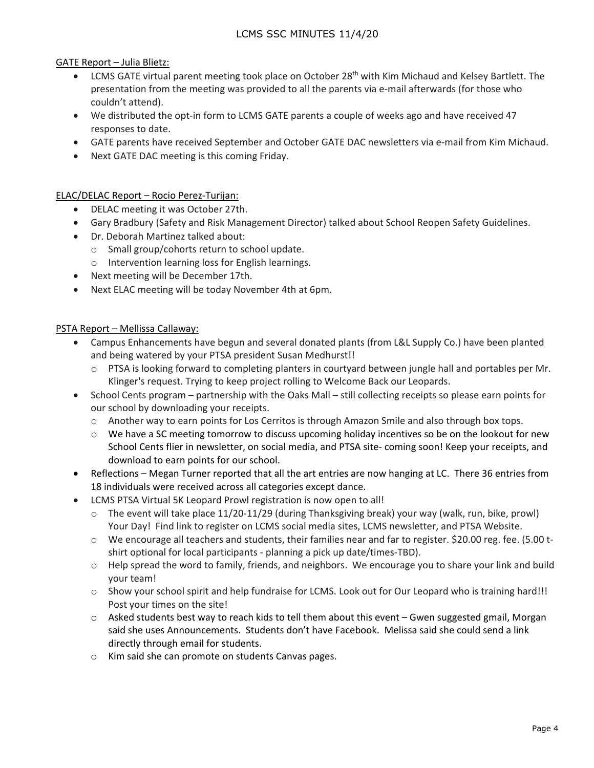GATE Report – Julia Blietz:

- $\bullet$  LCMS GATE virtual parent meeting took place on October 28<sup>th</sup> with Kim Michaud and Kelsey Bartlett. The presentation from the meeting was provided to all the parents via e‐mail afterwards (for those who couldn't attend).
- We distributed the opt-in form to LCMS GATE parents a couple of weeks ago and have received 47 responses to date.
- GATE parents have received September and October GATE DAC newsletters via e-mail from Kim Michaud.
- Next GATE DAC meeting is this coming Friday.

# ELAC/DELAC Report – Rocio Perez‐Turijan:

- DELAC meeting it was October 27th.
- Gary Bradbury (Safety and Risk Management Director) talked about School Reopen Safety Guidelines.
- Dr. Deborah Martinez talked about:
	- o Small group/cohorts return to school update.
	- o Intervention learning loss for English learnings.
- Next meeting will be December 17th.
- Next ELAC meeting will be today November 4th at 6pm.

### PSTA Report – Mellissa Callaway:

- Campus Enhancements have begun and several donated plants (from L&L Supply Co.) have been planted and being watered by your PTSA president Susan Medhurst!!
	- $\circ$  PTSA is looking forward to completing planters in courtyard between jungle hall and portables per Mr. Klinger's request. Trying to keep project rolling to Welcome Back our Leopards.
- School Cents program partnership with the Oaks Mall still collecting receipts so please earn points for our school by downloading your receipts.
	- o Another way to earn points for Los Cerritos is through Amazon Smile and also through box tops.
	- $\circ$  We have a SC meeting tomorrow to discuss upcoming holiday incentives so be on the lookout for new School Cents flier in newsletter, on social media, and PTSA site-coming soon! Keep your receipts, and download to earn points for our school.
- Reflections Megan Turner reported that all the art entries are now hanging at LC. There 36 entries from 18 individuals were received across all categories except dance.
- LCMS PTSA Virtual 5K Leopard Prowl registration is now open to all!
	- $\circ$  The event will take place 11/20-11/29 (during Thanksgiving break) your way (walk, run, bike, prowl) Your Day! Find link to register on LCMS social media sites, LCMS newsletter, and PTSA Website.
	- o We encourage all teachers and students, their families near and far to register. \$20.00 reg. fee. (5.00 t‐ shirt optional for local participants ‐ planning a pick up date/times‐TBD).
	- o Help spread the word to family, friends, and neighbors. We encourage you to share your link and build your team!
	- o Show your school spirit and help fundraise for LCMS. Look out for Our Leopard who is training hard!!! Post your times on the site!
	- o Asked students best way to reach kids to tell them about this event Gwen suggested gmail, Morgan said she uses Announcements. Students don't have Facebook. Melissa said she could send a link directly through email for students.
	- o Kim said she can promote on students Canvas pages.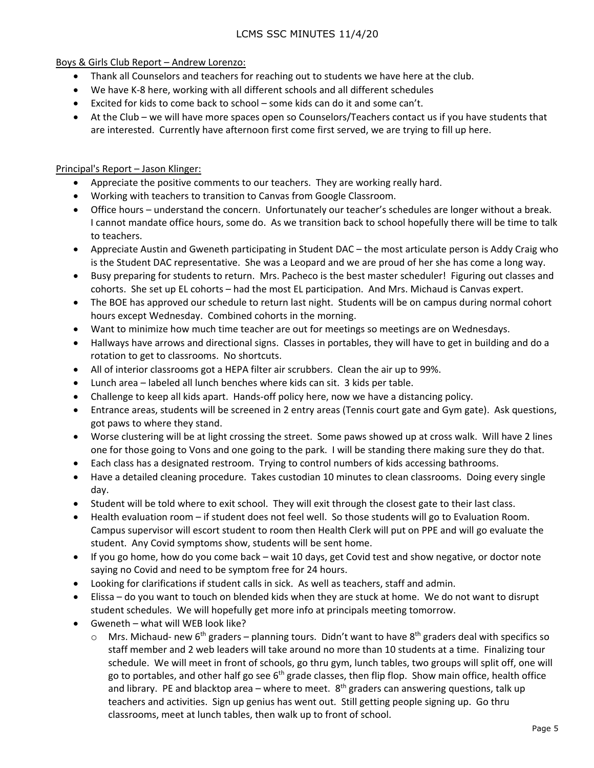Boys & Girls Club Report – Andrew Lorenzo:

- Thank all Counselors and teachers for reaching out to students we have here at the club.
- We have K-8 here, working with all different schools and all different schedules
- Excited for kids to come back to school some kids can do it and some can't.
- At the Club we will have more spaces open so Counselors/Teachers contact us if you have students that are interested. Currently have afternoon first come first served, we are trying to fill up here.

# Principal's Report – Jason Klinger:

- Appreciate the positive comments to our teachers. They are working really hard.
- Working with teachers to transition to Canvas from Google Classroom.
- Office hours understand the concern. Unfortunately our teacher's schedules are longer without a break. I cannot mandate office hours, some do. As we transition back to school hopefully there will be time to talk to teachers.
- Appreciate Austin and Gweneth participating in Student DAC the most articulate person is Addy Craig who is the Student DAC representative. She was a Leopard and we are proud of her she has come a long way.
- Busy preparing for students to return. Mrs. Pacheco is the best master scheduler! Figuring out classes and cohorts. She set up EL cohorts – had the most EL participation. And Mrs. Michaud is Canvas expert.
- The BOE has approved our schedule to return last night. Students will be on campus during normal cohort hours except Wednesday. Combined cohorts in the morning.
- Want to minimize how much time teacher are out for meetings so meetings are on Wednesdays.
- Hallways have arrows and directional signs. Classes in portables, they will have to get in building and do a rotation to get to classrooms. No shortcuts.
- All of interior classrooms got a HEPA filter air scrubbers. Clean the air up to 99%.
- Lunch area labeled all lunch benches where kids can sit. 3 kids per table.
- Challenge to keep all kids apart. Hands‐off policy here, now we have a distancing policy.
- Entrance areas, students will be screened in 2 entry areas (Tennis court gate and Gym gate). Ask questions, got paws to where they stand.
- Worse clustering will be at light crossing the street. Some paws showed up at cross walk. Will have 2 lines one for those going to Vons and one going to the park. I will be standing there making sure they do that.
- Each class has a designated restroom. Trying to control numbers of kids accessing bathrooms.
- Have a detailed cleaning procedure. Takes custodian 10 minutes to clean classrooms. Doing every single day.
- Student will be told where to exit school. They will exit through the closest gate to their last class.
- Health evaluation room if student does not feel well. So those students will go to Evaluation Room. Campus supervisor will escort student to room then Health Clerk will put on PPE and will go evaluate the student. Any Covid symptoms show, students will be sent home.
- If you go home, how do you come back wait 10 days, get Covid test and show negative, or doctor note saying no Covid and need to be symptom free for 24 hours.
- Looking for clarifications if student calls in sick. As well as teachers, staff and admin.
- Elissa do you want to touch on blended kids when they are stuck at home. We do not want to disrupt student schedules. We will hopefully get more info at principals meeting tomorrow.
- Gweneth what will WEB look like?
	- $\circ$  Mrs. Michaud- new 6<sup>th</sup> graders planning tours. Didn't want to have 8<sup>th</sup> graders deal with specifics so staff member and 2 web leaders will take around no more than 10 students at a time. Finalizing tour schedule. We will meet in front of schools, go thru gym, lunch tables, two groups will split off, one will go to portables, and other half go see  $6<sup>th</sup>$  grade classes, then flip flop. Show main office, health office and library. PE and blacktop area – where to meet.  $8<sup>th</sup>$  graders can answering questions, talk up teachers and activities. Sign up genius has went out. Still getting people signing up. Go thru classrooms, meet at lunch tables, then walk up to front of school.